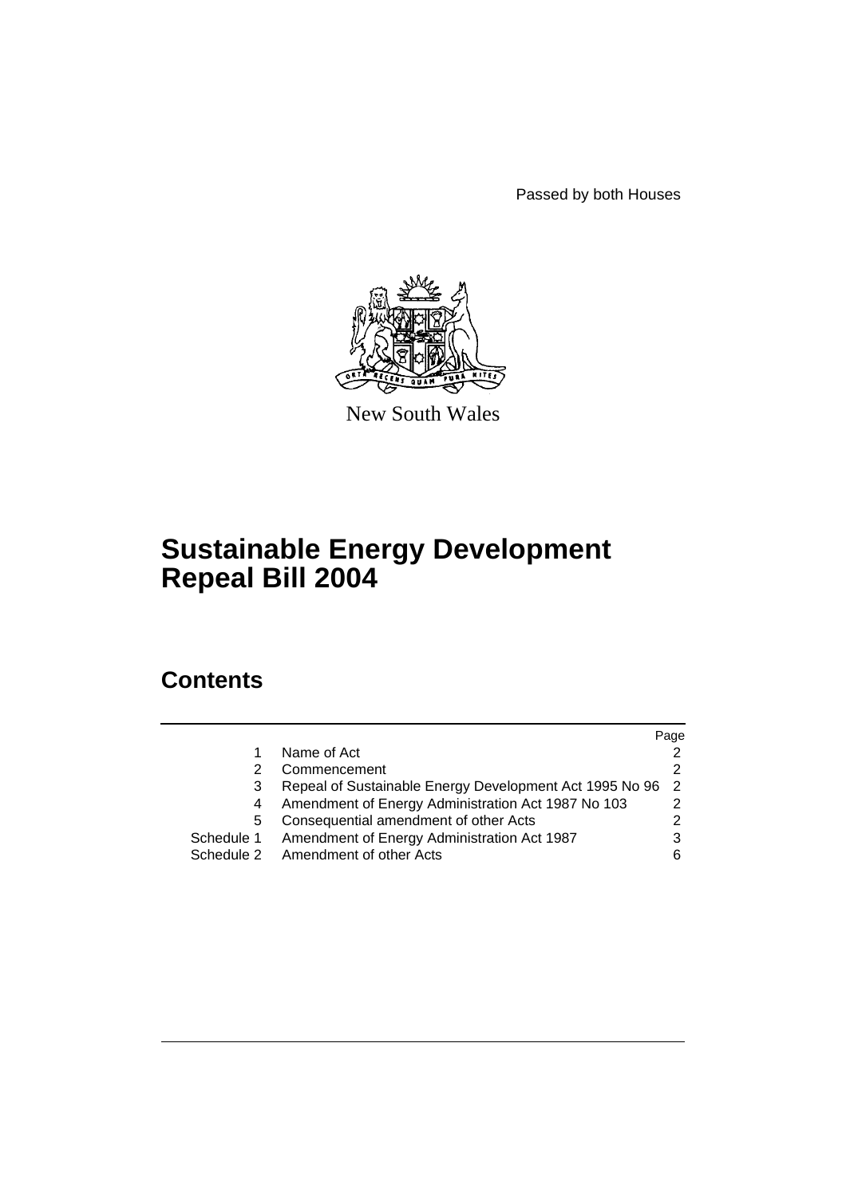Passed by both Houses



New South Wales

# **Sustainable Energy Development Repeal Bill 2004**

## **Contents**

|            |                                                         | Page |
|------------|---------------------------------------------------------|------|
|            | Name of Act                                             |      |
|            | Commencement                                            |      |
| 3          | Repeal of Sustainable Energy Development Act 1995 No 96 | - 2  |
| 4          | Amendment of Energy Administration Act 1987 No 103      |      |
| 5          | Consequential amendment of other Acts                   |      |
| Schedule 1 | Amendment of Energy Administration Act 1987             |      |
|            | Schedule 2 Amendment of other Acts                      | 6    |
|            |                                                         |      |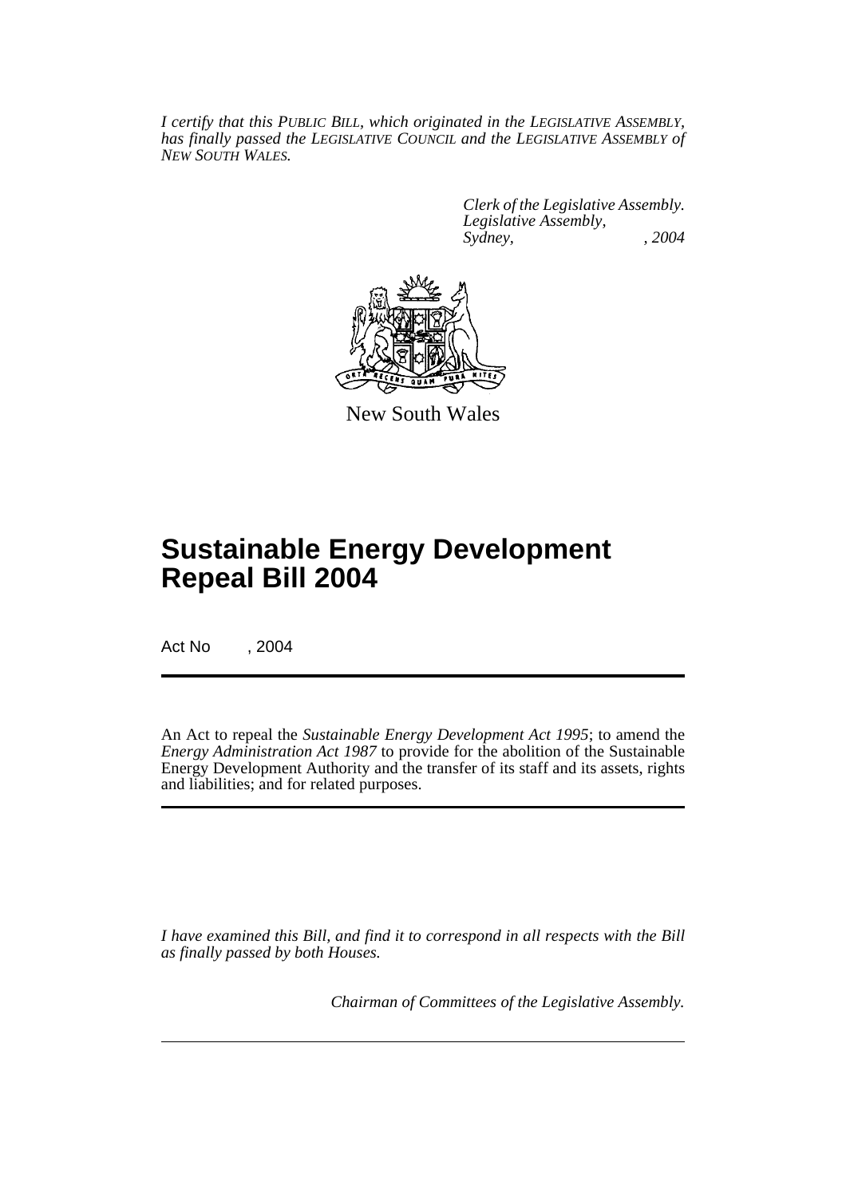*I certify that this PUBLIC BILL, which originated in the LEGISLATIVE ASSEMBLY, has finally passed the LEGISLATIVE COUNCIL and the LEGISLATIVE ASSEMBLY of NEW SOUTH WALES.*

> *Clerk of the Legislative Assembly. Legislative Assembly, Sydney, , 2004*



New South Wales

# **Sustainable Energy Development Repeal Bill 2004**

Act No , 2004

An Act to repeal the *Sustainable Energy Development Act 1995*; to amend the *Energy Administration Act 1987* to provide for the abolition of the Sustainable Energy Development Authority and the transfer of its staff and its assets, rights and liabilities; and for related purposes.

*I have examined this Bill, and find it to correspond in all respects with the Bill as finally passed by both Houses.*

*Chairman of Committees of the Legislative Assembly.*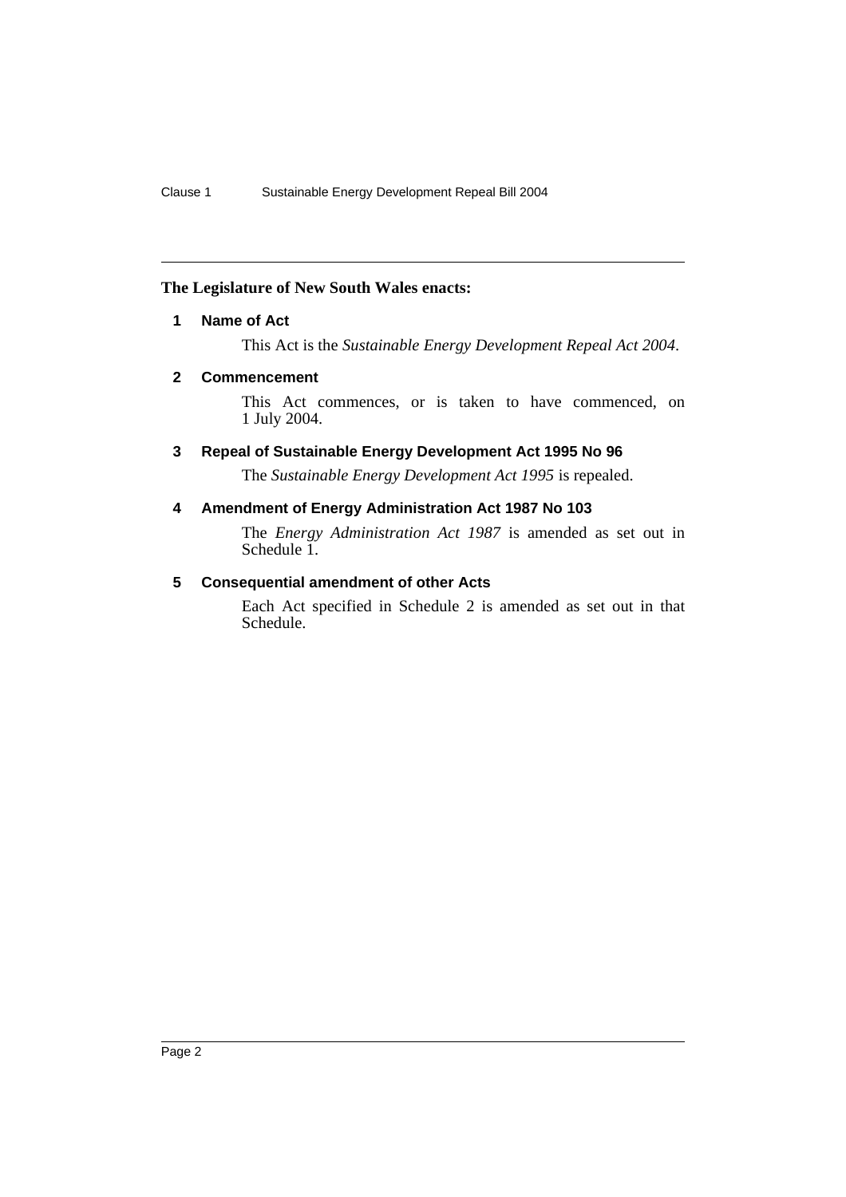### **The Legislature of New South Wales enacts:**

### **1 Name of Act**

This Act is the *Sustainable Energy Development Repeal Act 2004*.

### **2 Commencement**

This Act commences, or is taken to have commenced, on 1 July 2004.

### **3 Repeal of Sustainable Energy Development Act 1995 No 96**

The *Sustainable Energy Development Act 1995* is repealed.

### **4 Amendment of Energy Administration Act 1987 No 103**

The *Energy Administration Act 1987* is amended as set out in Schedule 1.

### **5 Consequential amendment of other Acts**

Each Act specified in Schedule 2 is amended as set out in that Schedule.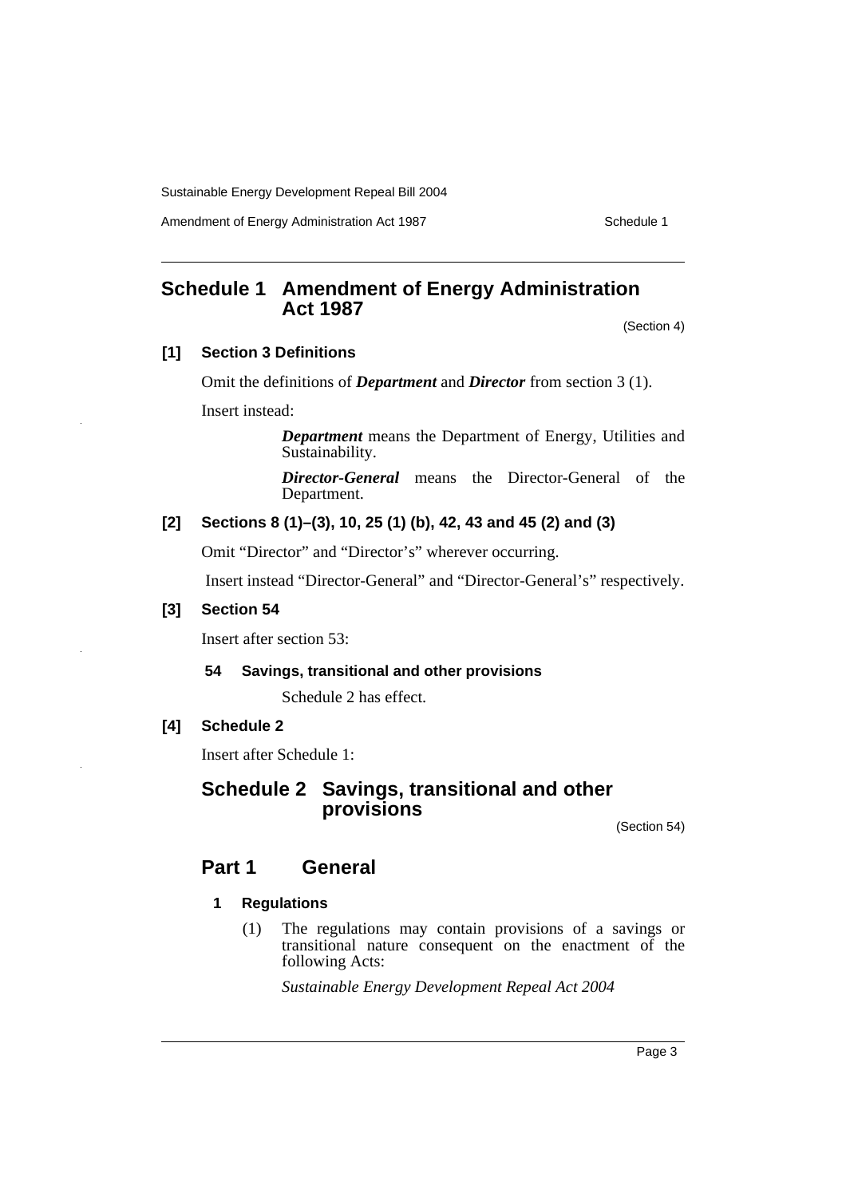Amendment of Energy Administration Act 1987 Manual Channel Schedule 1

### **Schedule 1 Amendment of Energy Administration Act 1987**

(Section 4)

### **[1] Section 3 Definitions**

Omit the definitions of *Department* and *Director* from section 3 (1).

Insert instead:

*Department* means the Department of Energy, Utilities and Sustainability.

*Director-General* means the Director-General of the Department.

### **[2] Sections 8 (1)–(3), 10, 25 (1) (b), 42, 43 and 45 (2) and (3)**

Omit "Director" and "Director's" wherever occurring.

Insert instead "Director-General" and "Director-General's" respectively.

### **[3] Section 54**

Insert after section 53:

### **54 Savings, transitional and other provisions**

Schedule 2 has effect.

### **[4] Schedule 2**

Insert after Schedule 1:

### **Schedule 2 Savings, transitional and other provisions**

(Section 54)

### **Part 1 General**

### **1 Regulations**

(1) The regulations may contain provisions of a savings or transitional nature consequent on the enactment of the following Acts:

*Sustainable Energy Development Repeal Act 2004*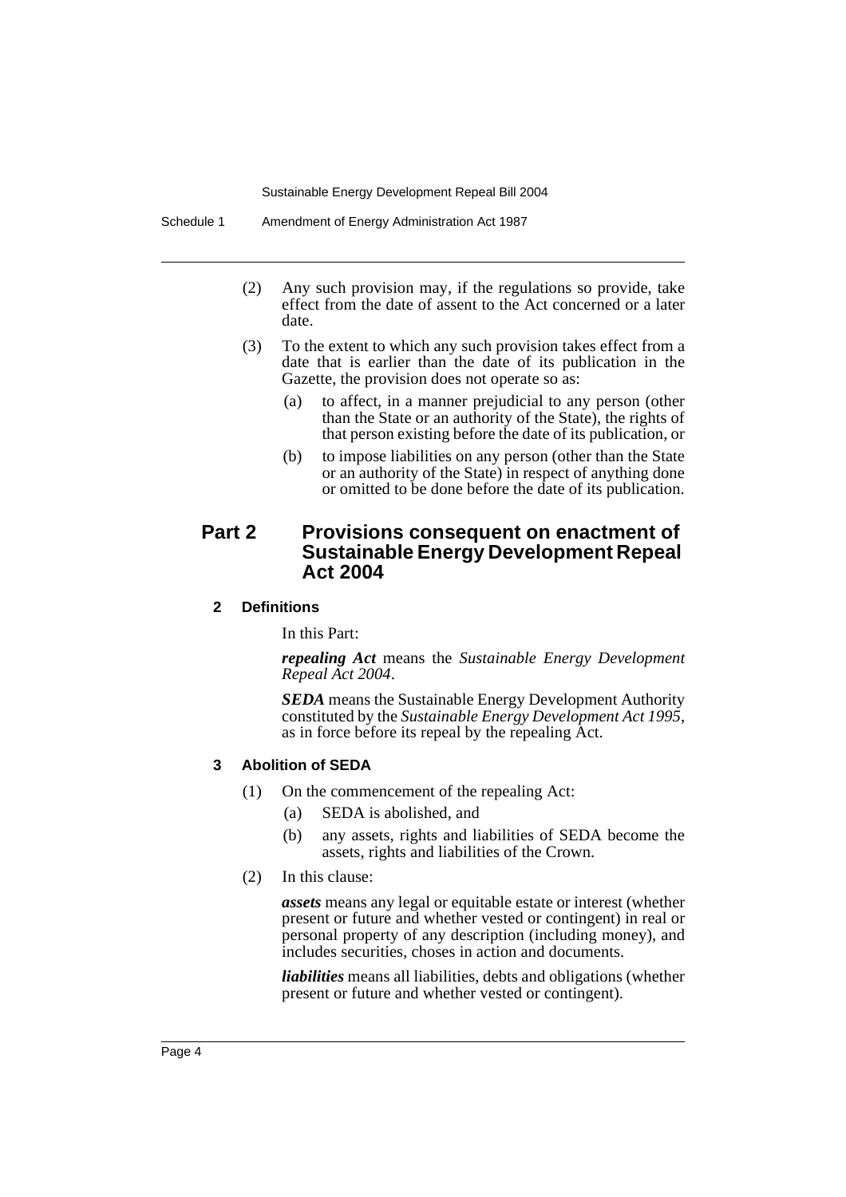- (2) Any such provision may, if the regulations so provide, take effect from the date of assent to the Act concerned or a later date.
- (3) To the extent to which any such provision takes effect from a date that is earlier than the date of its publication in the Gazette, the provision does not operate so as:
	- (a) to affect, in a manner prejudicial to any person (other than the State or an authority of the State), the rights of that person existing before the date of its publication, or
	- (b) to impose liabilities on any person (other than the State or an authority of the State) in respect of anything done or omitted to be done before the date of its publication.

### **Part 2 Provisions consequent on enactment of Sustainable Energy Development Repeal Act 2004**

### **2 Definitions**

In this Part:

*repealing Act* means the *Sustainable Energy Development Repeal Act 2004*.

*SEDA* means the Sustainable Energy Development Authority constituted by the *Sustainable Energy Development Act 1995*, as in force before its repeal by the repealing Act.

#### **3 Abolition of SEDA**

- (1) On the commencement of the repealing Act:
	- (a) SEDA is abolished, and
	- (b) any assets, rights and liabilities of SEDA become the assets, rights and liabilities of the Crown.
- (2) In this clause:

*assets* means any legal or equitable estate or interest (whether present or future and whether vested or contingent) in real or personal property of any description (including money), and includes securities, choses in action and documents.

*liabilities* means all liabilities, debts and obligations (whether present or future and whether vested or contingent).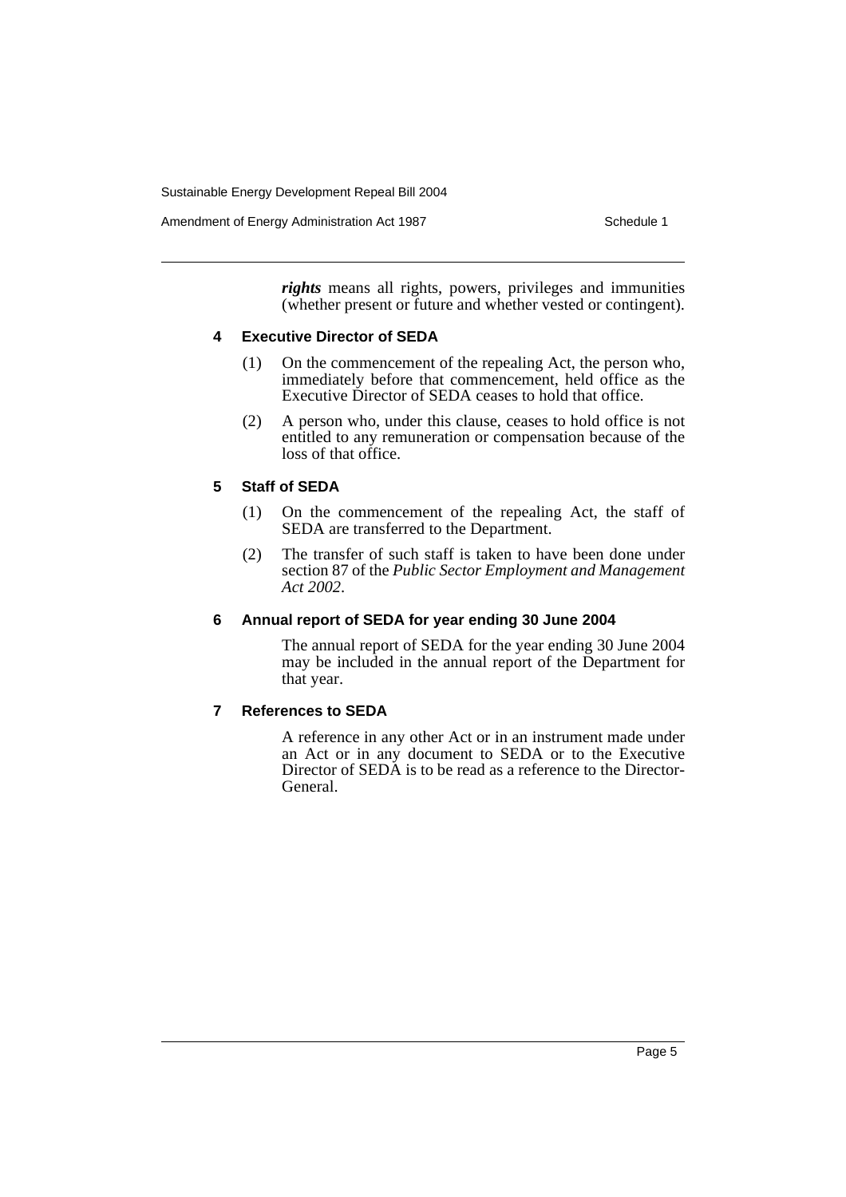*rights* means all rights, powers, privileges and immunities (whether present or future and whether vested or contingent).

### **4 Executive Director of SEDA**

- (1) On the commencement of the repealing Act, the person who, immediately before that commencement, held office as the Executive Director of SEDA ceases to hold that office.
- (2) A person who, under this clause, ceases to hold office is not entitled to any remuneration or compensation because of the loss of that office.

### **5 Staff of SEDA**

- (1) On the commencement of the repealing Act, the staff of SEDA are transferred to the Department.
- (2) The transfer of such staff is taken to have been done under section 87 of the *Public Sector Employment and Management Act 2002*.

### **6 Annual report of SEDA for year ending 30 June 2004**

The annual report of SEDA for the year ending 30 June 2004 may be included in the annual report of the Department for that year.

### **7 References to SEDA**

A reference in any other Act or in an instrument made under an Act or in any document to SEDA or to the Executive Director of SEDA is to be read as a reference to the Director-General.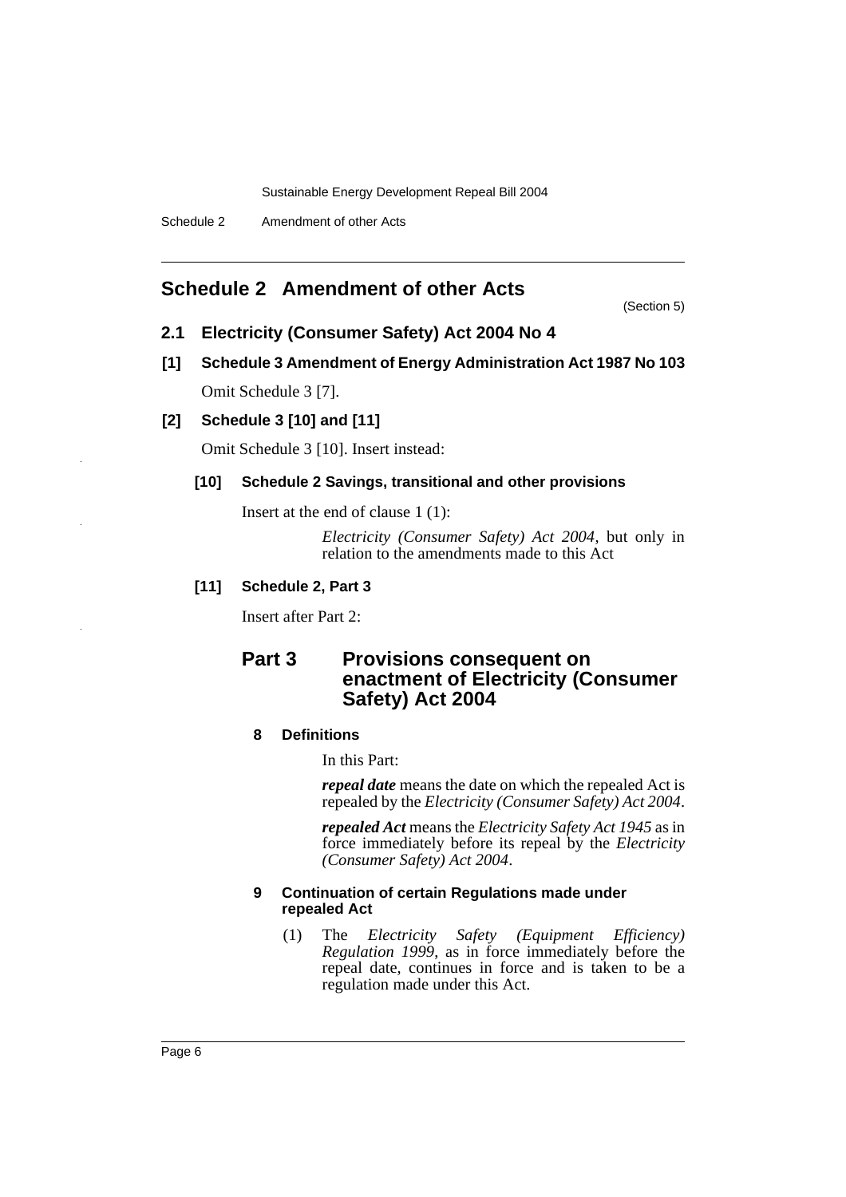### **Schedule 2 Amendment of other Acts**

(Section 5)

- **2.1 Electricity (Consumer Safety) Act 2004 No 4**
- **[1] Schedule 3 Amendment of Energy Administration Act 1987 No 103** Omit Schedule 3 [7].
- **[2] Schedule 3 [10] and [11]**

Omit Schedule 3 [10]. Insert instead:

### **[10] Schedule 2 Savings, transitional and other provisions**

Insert at the end of clause 1 (1):

*Electricity (Consumer Safety) Act 2004*, but only in relation to the amendments made to this Act

### **[11] Schedule 2, Part 3**

Insert after Part 2:

### **Part 3** Provisions consequent on **enactment of Electricity (Consumer Safety) Act 2004**

### **8 Definitions**

In this Part:

*repeal date* means the date on which the repealed Act is repealed by the *Electricity (Consumer Safety) Act 2004*.

*repealed Act* means the *Electricity Safety Act 1945* as in force immediately before its repeal by the *Electricity (Consumer Safety) Act 2004*.

### **9 Continuation of certain Regulations made under repealed Act**

(1) The *Electricity Safety (Equipment Efficiency) Regulation 1999*, as in force immediately before the repeal date, continues in force and is taken to be a regulation made under this Act.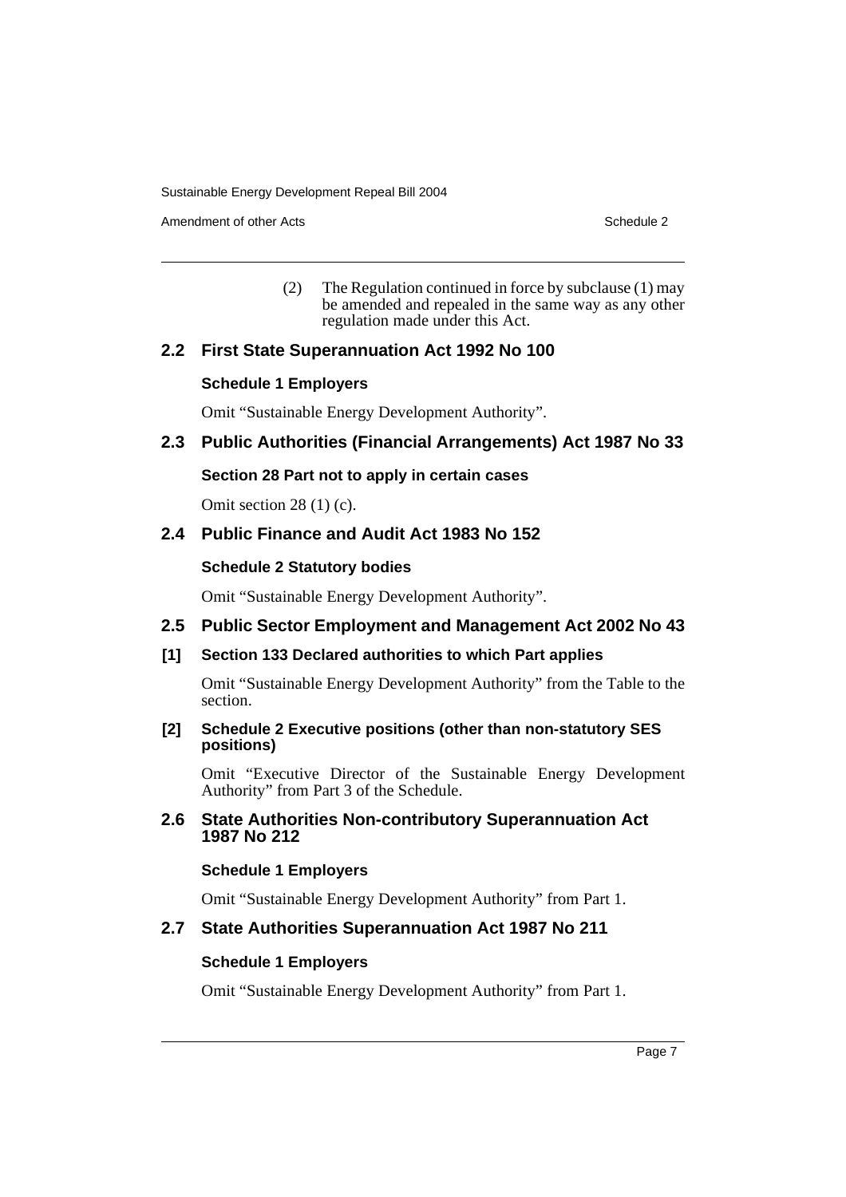Amendment of other Acts **Schedule 2** and the 2 and the 2 and 2 and 2 and 2 and 2 and 2 and 2 and 2 and 2 and 2 and 2 and 2 and 2 and 2 and 2 and 2 and 2 and 2 and 2 and 2 and 2 and 2 and 2 and 2 and 2 and 2 and 2 and 2 and

(2) The Regulation continued in force by subclause (1) may be amended and repealed in the same way as any other regulation made under this Act.

### **2.2 First State Superannuation Act 1992 No 100**

### **Schedule 1 Employers**

Omit "Sustainable Energy Development Authority".

### **2.3 Public Authorities (Financial Arrangements) Act 1987 No 33**

### **Section 28 Part not to apply in certain cases**

Omit section 28 (1) (c).

### **2.4 Public Finance and Audit Act 1983 No 152**

### **Schedule 2 Statutory bodies**

Omit "Sustainable Energy Development Authority".

### **2.5 Public Sector Employment and Management Act 2002 No 43**

### **[1] Section 133 Declared authorities to which Part applies**

Omit "Sustainable Energy Development Authority" from the Table to the section.

### **[2] Schedule 2 Executive positions (other than non-statutory SES positions)**

Omit "Executive Director of the Sustainable Energy Development Authority" from Part 3 of the Schedule.

### **2.6 State Authorities Non-contributory Superannuation Act 1987 No 212**

### **Schedule 1 Employers**

Omit "Sustainable Energy Development Authority" from Part 1.

### **2.7 State Authorities Superannuation Act 1987 No 211**

### **Schedule 1 Employers**

Omit "Sustainable Energy Development Authority" from Part 1.